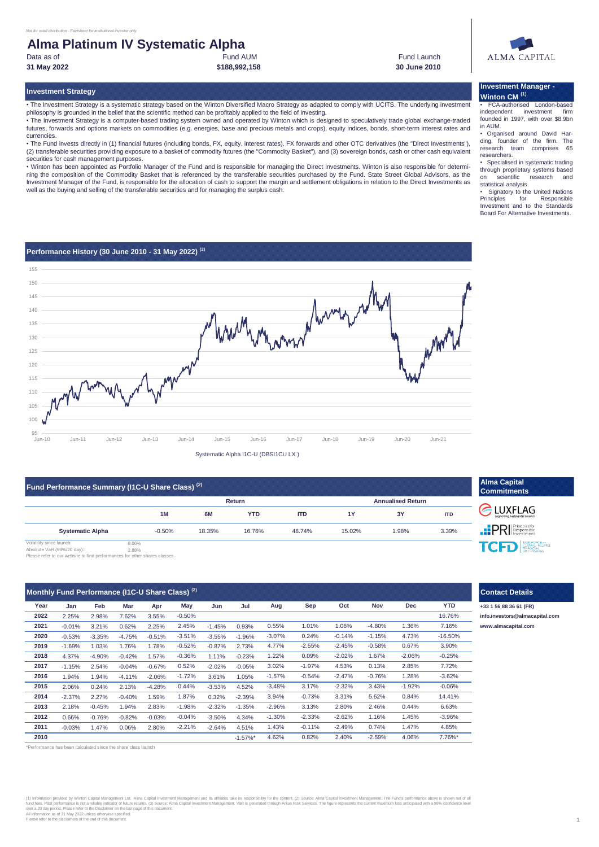securities for cash management purposes.

#### Fund AUM **Alma Platinum IV Systematic Alpha 31 May 2022 30 June 2010** Data as of

currencies.

**Investment Strategy**

**\$188,992,158**

philosophy is grounded in the belief that the scientific method can be profitably applied to the field of investing.

well as the buying and selling of the transferable securities and for managing the surplus cash.

• The Investment Strategy is a systematic strategy based on the Winton Diversified Macro Strategy as adapted to comply with UCITS. The underlying investment

• The Investment Strategy is a computer-based trading system owned and operated by Winton which is designed to speculatively trade global exchange-traded futures, forwards and options markets on commodities (e.g. energies, base and precious metals and crops), equity indices, bonds, short-term interest rates and

• The Fund invests directly in (1) financial futures (including bonds, FX, equity, interest rates), FX forwards and other OTC derivatives (the "Direct Investments"), (2) transferable securities providing exposure to a basket of commodity futures (the "Commodity Basket"), and (3) sovereign bonds, cash or other cash equivalent

• Winton has been appointed as Portfolio Manager of the Fund and is responsible for managing the Direct Investments. Winton is also responsible for determining the composition of the Commodity Basket that is referenced by the transferable securities purchased by the Fund. State Street Global Advisors, as the Investment Manager of the Fund, is responsible for the allocation of cash to support the margin and settlement obligations in relation to the Direct Investments as

Fund Launch



## **Investment Manager - Winton CM (1)**

• FCA-authorised London-based independent founded in 1997, with over \$8.9bn in AUM.

• Organised around David Harding, founder of the firm. The research team comprises 65 researchers.

• Specialised in systematic trading through proprietary systems based on scientific research and statistical analysis.

• Signatory to the United Nations<br>Principles for Responsible Principles for Responsible Investment and to the Standards Board For Alternative Investments.

## **Performance History (30 June 2010 - 31 May 2022) (2)**



Systematic Alpha I1C-U (DBSI1CU LX )

| Fund Performance Summary (I1C-U Share Class) <sup>(2)</sup> |                |          |        |            |                          |           |       |            |  |
|-------------------------------------------------------------|----------------|----------|--------|------------|--------------------------|-----------|-------|------------|--|
|                                                             |                |          |        | Return     | <b>Annualised Return</b> |           |       |            |  |
|                                                             |                | 1M       | 6M     | <b>YTD</b> | <b>ITD</b>               | <b>1Y</b> | 3Y    | <b>ITD</b> |  |
| <b>Systematic Alpha</b>                                     |                | $-0.50%$ | 18.35% | 16.76%     | 48.74%                   | 15.02%    | 1.98% | 3.39%      |  |
| Volatility since launch:<br>Absolute VaR (99%/20 day):      | 8.06%<br>2.88% |          |        |            |                          |           |       |            |  |

2.88% Absolute VaR (99%/20 day): Please refer to our website to find performances for other shares classes.

|      | Monthly Fund Performance (I1C-U Share Class) <sup>(2)</sup> |          |          |          |          |          |             |          |          |          |          |          |           | <b>Contact Details</b> |
|------|-------------------------------------------------------------|----------|----------|----------|----------|----------|-------------|----------|----------|----------|----------|----------|-----------|------------------------|
| Year | Jan                                                         | Feb      | Mar      | Apr      | May      | Jun      | Jul         | Aug      | Sep      | Oct      | Nov      | Dec      | YTD       | +33 1 56 88 36 61 (FR) |
| 2022 | 2.25%                                                       | 2.98%    | 7.62%    | 3.55%    | $-0.50%$ |          |             |          |          |          |          |          | 16.76%    | info.investors@almac   |
| 2021 | $-0.01%$                                                    | 3.21%    | 0.62%    | 2.25%    | 2.45%    | $-1.45%$ | 0.93%       | 0.55%    | 1.01%    | 1.06%    | $-4.80%$ | 1.36%    | 7.16%     | www.almacapital.com    |
| 2020 | $-0.53%$                                                    | $-3.35%$ | $-4.75%$ | $-0.51%$ | $-3.51%$ | $-3.55%$ | $-1.96%$    | $-3.07%$ | 0.24%    | $-0.14%$ | $-1.15%$ | 4.73%    | $-16.50%$ |                        |
| 2019 | $-1.69%$                                                    | 1.03%    | 1.76%    | 1.78%    | $-0.52%$ | $-0.87%$ | 2.73%       | 4.77%    | $-2.55%$ | $-2.45%$ | $-0.58%$ | 0.67%    | 3.90%     |                        |
| 2018 | 4.37%                                                       | $-4.90%$ | $-0.42%$ | 1.57%    | $-0.36%$ | 1.11%    | $-0.23%$    | 1.22%    | 0.09%    | $-2.02%$ | 1.67%    | $-2.06%$ | $-0.25%$  |                        |
| 2017 | $-1.15%$                                                    | 2.54%    | $-0.04%$ | $-0.67%$ | 0.52%    | $-2.02%$ | $-0.05%$    | 3.02%    | $-1.97%$ | 4.53%    | 0.13%    | 2.85%    | 7.72%     |                        |
| 2016 | 1.94%                                                       | 1.94%    | $-4.11%$ | $-2.06%$ | $-1.72%$ | 3.61%    | 1.05%       | $-1.57%$ | $-0.54%$ | $-2.47%$ | $-0.76%$ | 1.28%    | $-3.62%$  |                        |
| 2015 | 2.06%                                                       | 0.24%    | 2.13%    | $-4.28%$ | 0.44%    | $-3.53%$ | 4.52%       | $-3.48%$ | 3.17%    | $-2.32%$ | 3.43%    | $-1.92%$ | $-0.06%$  |                        |
| 2014 | $-2.37%$                                                    | 2.27%    | $-0.40%$ | 1.59%    | 1.87%    | 0.32%    | $-2.39%$    | 3.94%    | $-0.73%$ | 3.31%    | 5.62%    | 0.84%    | 14.41%    |                        |
| 2013 | 2.18%                                                       | $-0.45%$ | 1.94%    | 2.83%    | $-1.98%$ | $-2.32%$ | $-1.35%$    | $-2.96%$ | 3.13%    | 2.80%    | 2.46%    | 0.44%    | 6.63%     |                        |
| 2012 | 0.66%                                                       | $-0.76%$ | $-0.82%$ | $-0.03%$ | $-0.04%$ | $-3.50%$ | 4.34%       | $-1.30%$ | $-2.33%$ | $-2.62%$ | 1.16%    | 1.45%    | $-3.96%$  |                        |
| 2011 | $-0.03%$                                                    | 1.47%    | 0.06%    | 2.80%    | $-2.21%$ | $-2.64%$ | 4.51%       | 1.43%    | $-0.11%$ | $-2.49%$ | 0.74%    | 1.47%    | 4.85%     |                        |
| 2010 |                                                             |          |          |          |          |          | $-1.57\%$ * | 4.62%    | 0.82%    | 2.40%    | $-2.59%$ | 4.06%    | 7.76%*    |                        |

mance has been calculated since the share class launch

# (1) Information provided by Winton Capital Management Let. Alma Capital Investment Management and its affiliates take no responsibility for the content. (2) Source: Alma Capital Investment Management The Fund's performance

#### 1

**Contact Details**

**Alma Capital Commitments**

CLUXFLAG **PRI** Responsible TCFD EINANCAL

2.25% 2.98% 7.62% 3.55% **[info.investors@almacapital.com](mailto:info.investors@almacapital.com)**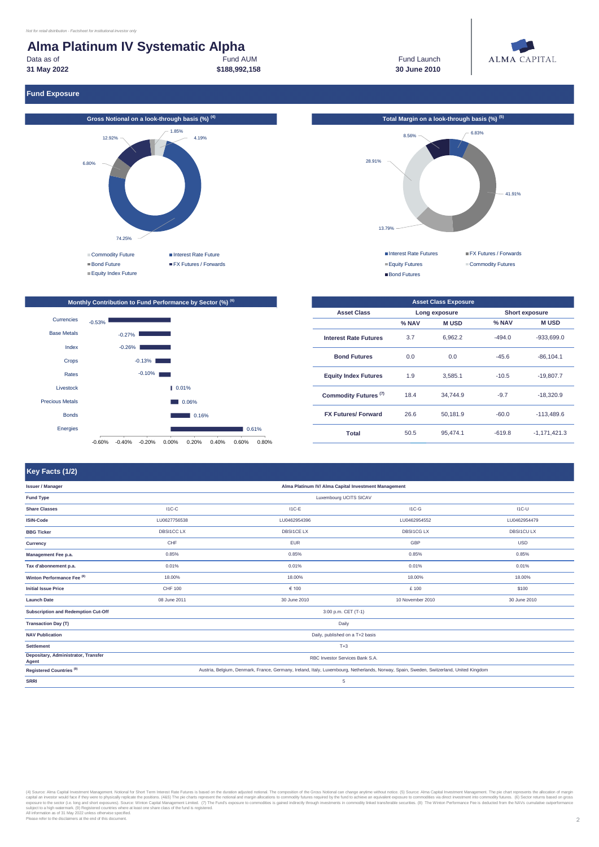#### Fund AUM **\$188,992,158 Alma Platinum IV Systematic Alpha** Data as of **31 May 2022**

Fund Launch **30 June 2010**



**Fund Exposure**





#### **Monthly Contribution to Fund Performance by Sector (%) (6)** Currencies  $-0.53\%$ Base Metals -0.27% Index -0.26% Crops -0.13% -0.10% Rates Livestock 0.01% Precious Metals 0.06% Bonds 0.16% Energies  $10.61%$ m. -0.60% -0.40% -0.20% 0.00% 0.20% 0.40% 0.60% 0.80%

| <b>Asset Class Exposure</b>      |                      |          |          |                       |  |  |  |  |
|----------------------------------|----------------------|----------|----------|-----------------------|--|--|--|--|
| <b>Asset Class</b>               | Long exposure        |          |          | <b>Short exposure</b> |  |  |  |  |
|                                  | % NAV<br><b>MUSD</b> |          | % NAV    | <b>MUSD</b>           |  |  |  |  |
| <b>Interest Rate Futures</b>     | 3.7                  | 6.962.2  | $-494.0$ | $-933.699.0$          |  |  |  |  |
| <b>Bond Futures</b>              | 0.0                  | 0.0      | $-45.6$  | $-86.104.1$           |  |  |  |  |
| <b>Equity Index Futures</b>      | 1.9                  | 3.585.1  | $-10.5$  | $-19,807.7$           |  |  |  |  |
| Commodity Futures <sup>(7)</sup> | 18.4                 | 34.744.9 | $-9.7$   | $-18.320.9$           |  |  |  |  |
| <b>FX Futures/ Forward</b>       | 26.6                 | 50.181.9 | $-60.0$  | $-113.489.6$          |  |  |  |  |
| Total                            | 50.5                 | 95.474.1 | $-619.8$ | $-1.171.421.3$        |  |  |  |  |

## **Key Facts (1/2)**

| <u>u maaaaaaaaaaan saaaaa ma</u>             |                                                                                                                                         |                   |                   |                  |  |  |  |  |  |
|----------------------------------------------|-----------------------------------------------------------------------------------------------------------------------------------------|-------------------|-------------------|------------------|--|--|--|--|--|
| <b>Issuer / Manager</b>                      | Alma Platinum IV/ Alma Capital Investment Management                                                                                    |                   |                   |                  |  |  |  |  |  |
| <b>Fund Type</b>                             | Luxembourg UCITS SICAV                                                                                                                  |                   |                   |                  |  |  |  |  |  |
| <b>Share Classes</b>                         | $IC-C$                                                                                                                                  | $I1C-E$           | $IC-G$            | $IC-U$           |  |  |  |  |  |
| <b>ISIN-Code</b>                             | LU0627756538                                                                                                                            | LU0462954396      | LU0462954552      | LU0462954479     |  |  |  |  |  |
| <b>BBG Ticker</b>                            | <b>DBSI1CCLX</b>                                                                                                                        | <b>DBSI1CE LX</b> | <b>DBSI1CG LX</b> | <b>DBSI1CULX</b> |  |  |  |  |  |
| Currency                                     | CHF                                                                                                                                     | <b>EUR</b>        | <b>GBP</b>        | <b>USD</b>       |  |  |  |  |  |
| Management Fee p.a.                          | 0.85%                                                                                                                                   | 0.85%             | 0.85%             | 0.85%            |  |  |  |  |  |
| Tax d'abonnement p.a.                        | 0.01%                                                                                                                                   | 0.01%             | 0.01%             | 0.01%            |  |  |  |  |  |
| Winton Performance Fee <sup>(8)</sup>        | 18.00%                                                                                                                                  | 18.00%            | 18.00%            | 18.00%           |  |  |  |  |  |
| <b>Initial Issue Price</b>                   | CHF 100                                                                                                                                 | € 100             | £ 100             | \$100            |  |  |  |  |  |
| <b>Launch Date</b>                           | 08 June 2011                                                                                                                            | 30 June 2010      | 10 November 2010  | 30 June 2010     |  |  |  |  |  |
| Subscription and Redemption Cut-Off          | 3:00 p.m. CET (T-1)                                                                                                                     |                   |                   |                  |  |  |  |  |  |
| <b>Transaction Day (T)</b>                   |                                                                                                                                         | Daily             |                   |                  |  |  |  |  |  |
| <b>NAV Publication</b>                       | Daily, published on a T+2 basis                                                                                                         |                   |                   |                  |  |  |  |  |  |
| <b>Settlement</b>                            | $T+3$                                                                                                                                   |                   |                   |                  |  |  |  |  |  |
| Depositary, Administrator, Transfer<br>Agent | RBC Investor Services Bank S.A.                                                                                                         |                   |                   |                  |  |  |  |  |  |
| Registered Countries <sup>(9)</sup>          | Austria, Belgium, Denmark, France, Germany, Ireland, Italy, Luxembourg, Netherlands, Norway, Spain, Sweden, Switzerland, United Kingdom |                   |                   |                  |  |  |  |  |  |
| <b>SRRI</b>                                  |                                                                                                                                         | 5                 |                   |                  |  |  |  |  |  |
|                                              |                                                                                                                                         |                   |                   |                  |  |  |  |  |  |

(4) Source: Alma Capital Investment Management. Notional for Short Term Interest Rate Fusites is based on the duration and margin allocations to commodity futures required by the fund to achieve any immediate interest and